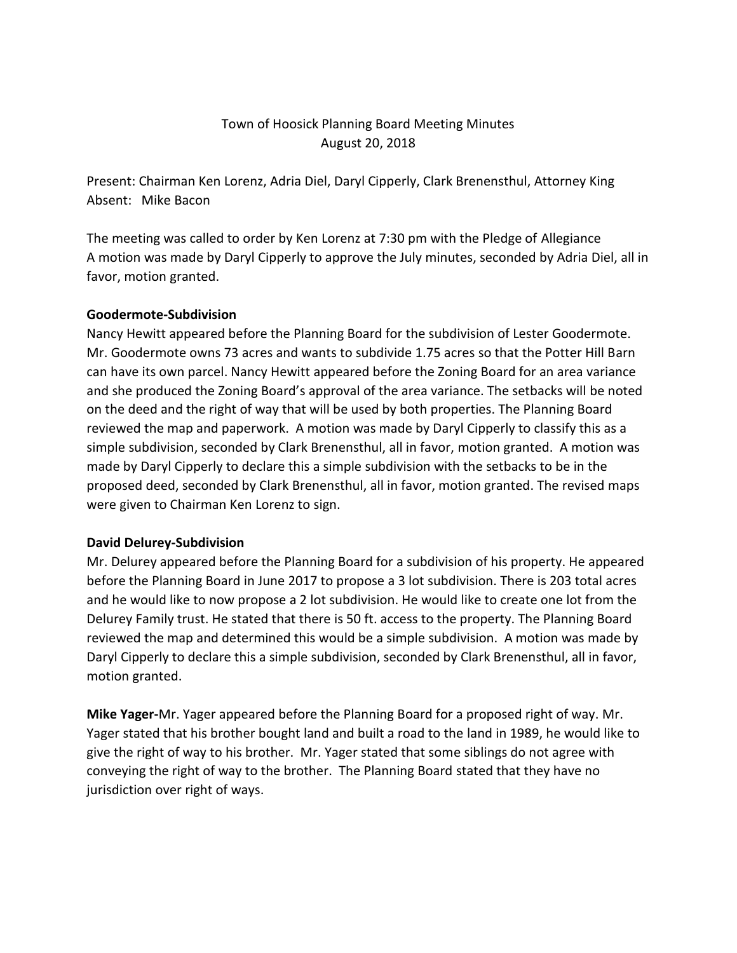# Town of Hoosick Planning Board Meeting Minutes August 20, 2018

Present: Chairman Ken Lorenz, Adria Diel, Daryl Cipperly, Clark Brenensthul, Attorney King Absent: Mike Bacon

The meeting was called to order by Ken Lorenz at 7:30 pm with the Pledge of Allegiance A motion was made by Daryl Cipperly to approve the July minutes, seconded by Adria Diel, all in favor, motion granted.

### **Goodermote-Subdivision**

Nancy Hewitt appeared before the Planning Board for the subdivision of Lester Goodermote. Mr. Goodermote owns 73 acres and wants to subdivide 1.75 acres so that the Potter Hill Barn can have its own parcel. Nancy Hewitt appeared before the Zoning Board for an area variance and she produced the Zoning Board's approval of the area variance. The setbacks will be noted on the deed and the right of way that will be used by both properties. The Planning Board reviewed the map and paperwork. A motion was made by Daryl Cipperly to classify this as a simple subdivision, seconded by Clark Brenensthul, all in favor, motion granted. A motion was made by Daryl Cipperly to declare this a simple subdivision with the setbacks to be in the proposed deed, seconded by Clark Brenensthul, all in favor, motion granted. The revised maps were given to Chairman Ken Lorenz to sign.

#### **David Delurey-Subdivision**

Mr. Delurey appeared before the Planning Board for a subdivision of his property. He appeared before the Planning Board in June 2017 to propose a 3 lot subdivision. There is 203 total acres and he would like to now propose a 2 lot subdivision. He would like to create one lot from the Delurey Family trust. He stated that there is 50 ft. access to the property. The Planning Board reviewed the map and determined this would be a simple subdivision. A motion was made by Daryl Cipperly to declare this a simple subdivision, seconded by Clark Brenensthul, all in favor, motion granted.

**Mike Yager-**Mr. Yager appeared before the Planning Board for a proposed right of way. Mr. Yager stated that his brother bought land and built a road to the land in 1989, he would like to give the right of way to his brother. Mr. Yager stated that some siblings do not agree with conveying the right of way to the brother. The Planning Board stated that they have no jurisdiction over right of ways.